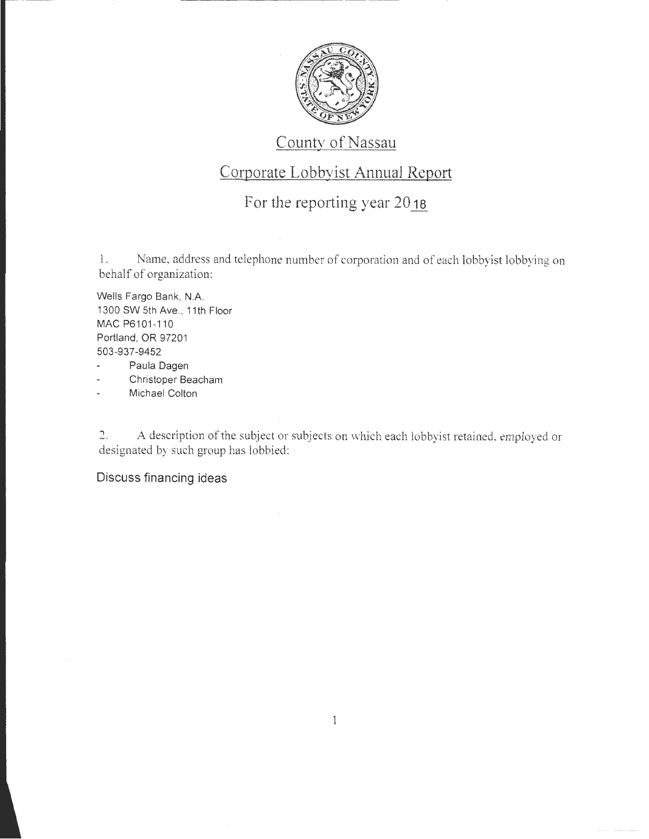

## County of Nassau

# Corporate Lobbyist Annual Report

# For the reporting year 2018

1. Name, address and telephone number of corporation and of each lobbyist lobbying on behalf of organization:

Wells Fargo Bank, N.A. 1300 SW 5th Ave., 11th Floor MAC P6101-110 Portland, OR 97201 503-937-9452

- ä, Paula Dagen
- Christoper Beacham
- Michael Colton

2. A description of the subject or subjects on which each lobbyist retained, employed or designated by such group has lobbied:

#### Discuss financing ideas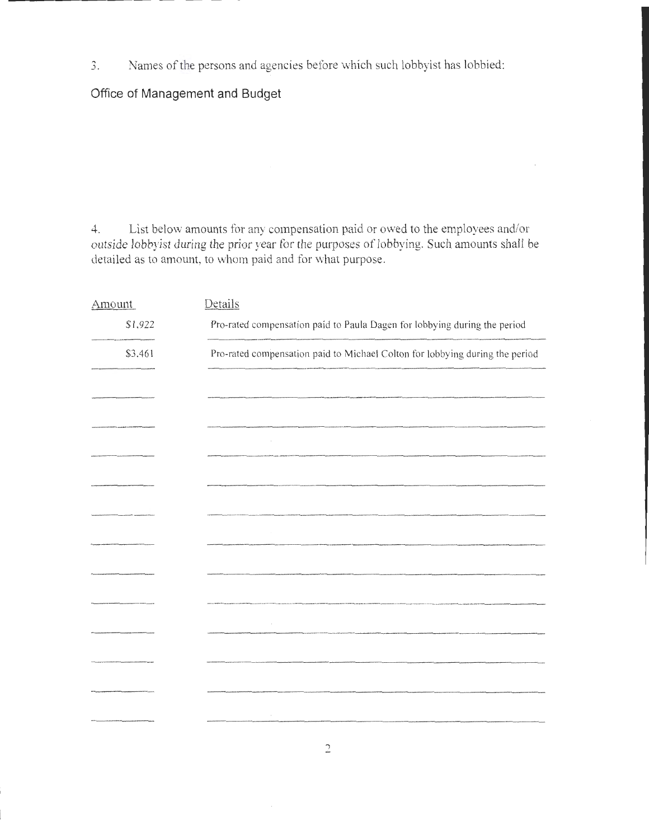3. Names of the persons and agencies before which such lobbyist has lobbied:

### **Office of Management and Budget**

4. List below amounts for any compensation paid or owed to the employees and/or outside lobbyist during the prior year for the purposes of lobbying. Such amounts shall be detailed as to amount, to whom paid and for what purpose.

| Amount                      | Details                                                                      |
|-----------------------------|------------------------------------------------------------------------------|
| \$1,922                     | Pro-rated compensation paid to Paula Dagen for lobbying during the period    |
| \$3,461                     | Pro-rated compensation paid to Michael Colton for lobbying during the period |
|                             |                                                                              |
|                             |                                                                              |
| .<br>Na shugabat is ma mare |                                                                              |
|                             |                                                                              |
|                             |                                                                              |
|                             |                                                                              |
|                             |                                                                              |
|                             |                                                                              |
|                             |                                                                              |
|                             |                                                                              |
|                             |                                                                              |
|                             |                                                                              |
|                             |                                                                              |
|                             |                                                                              |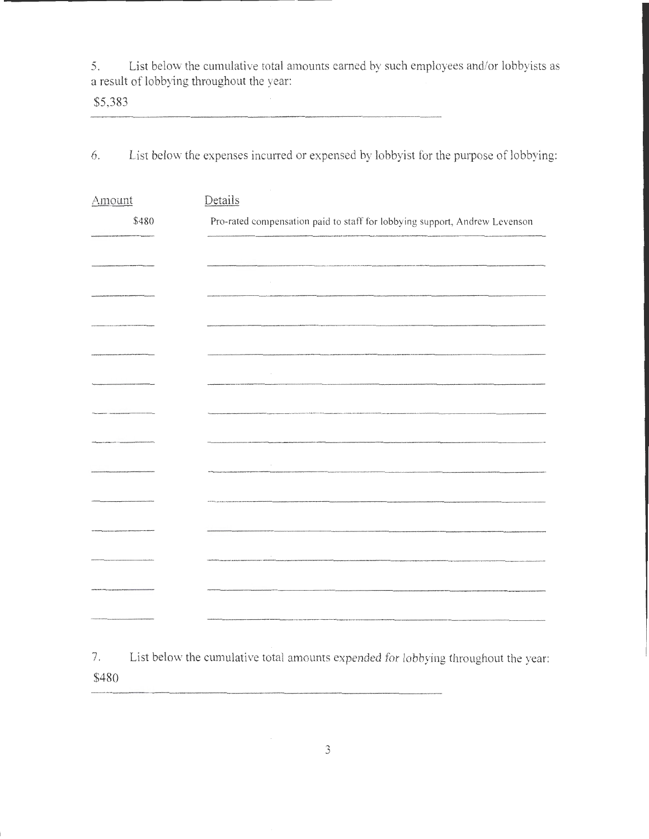5. List below the cumulative total amounts earned by such employees and/or lobbyists as a result of lobbying throughout the year:

\$5,383

6. List below the expenses incurred or expensed by lobbyist for the purpose of lobbying:

| Amount | Details                                                                                                                                                                                                                           |
|--------|-----------------------------------------------------------------------------------------------------------------------------------------------------------------------------------------------------------------------------------|
| \$480  | Pro-rated compensation paid to staff for lobbying support, Andrew Levenson                                                                                                                                                        |
|        |                                                                                                                                                                                                                                   |
|        | .<br>Angeles solde – et de modeladode de toletado es dodas é ou selhabade que artime es mercado écrivalmente a pleder dos antidados das                                                                                           |
|        | $\sim$                                                                                                                                                                                                                            |
|        |                                                                                                                                                                                                                                   |
|        |                                                                                                                                                                                                                                   |
|        |                                                                                                                                                                                                                                   |
|        | .<br>And at the activity the special country of the State of Company of Company and Company of the company of the second company of the State of Company of the State of Company of Company of Company of Company of Company of C |
|        |                                                                                                                                                                                                                                   |
|        |                                                                                                                                                                                                                                   |
|        |                                                                                                                                                                                                                                   |
|        |                                                                                                                                                                                                                                   |
|        |                                                                                                                                                                                                                                   |
|        |                                                                                                                                                                                                                                   |
|        |                                                                                                                                                                                                                                   |

7. List below the cumulative total amounts expended for lobbying throughout the year: \$480